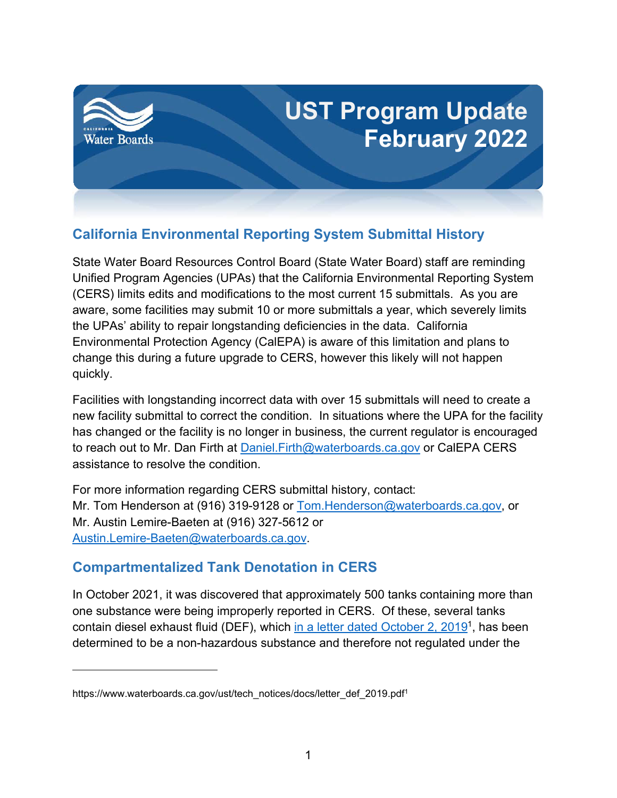

## **California Environmental Reporting System Submittal History**

State Water Board Resources Control Board (State Water Board) staff are reminding Unified Program Agencies (UPAs) that the California Environmental Reporting System (CERS) limits edits and modifications to the most current 15 submittals. As you are aware, some facilities may submit 10 or more submittals a year, which severely limits the UPAs' ability to repair longstanding deficiencies in the data. California Environmental Protection Agency (CalEPA) is aware of this limitation and plans to change this during a future upgrade to CERS, however this likely will not happen quickly.

Facilities with longstanding incorrect data with over 15 submittals will need to create a new facility submittal to correct the condition. In situations where the UPA for the facility has changed or the facility is no longer in business, the current regulator is encouraged to reach out to Mr. Dan Firth at Daniel. Firth@waterboards.ca.gov or CalEPA CERS assistance to resolve the condition.

For more information regarding CERS submittal history, contact: Mr. Tom Henderson at (916) 319-9128 or [Tom.Henderson@waterboards.ca.gov,](mailto:Tom.Henderson@waterboards.ca.gov) or Mr. Austin Lemire-Baeten at (916) 327-5612 or [Austin.Lemire-Baeten@waterboards.ca.gov](mailto:Austin.Lemire-Baeten@waterboards.ca.gov).

## **Compartmentalized Tank Denotation in CERS**

In October 2021, it was discovered that approximately 500 tanks containing more than one substance were being improperly reported in CERS. Of these, several tanks contain diesel exhaust fluid (DEF), which <u>in a letter dated October 2, 20[1](#page-0-0)9</u><sup>1</sup>, has been determined to be a non-hazardous substance and therefore not regulated under the

<span id="page-0-0"></span>https://www.waterboards.ca.gov/ust/tech\_notices/docs/letter\_def\_2019.pdf<sup>1</sup>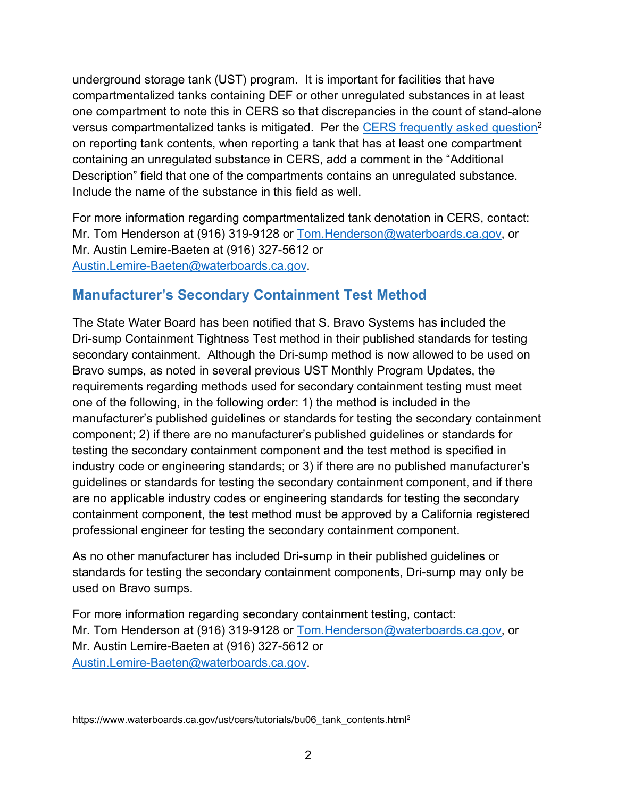underground storage tank (UST) program. It is important for facilities that have compartmentalized tanks containing DEF or other unregulated substances in at least one compartment to note this in CERS so that discrepancies in the count of stand-alone versus compartmentalized tanks is mitigated. Per the [CERS frequently asked question](https://www.waterboards.ca.gov/ust/cers/tutorials/bu06_tank_contents.html)[2](#page-1-0) on reporting tank contents, when reporting a tank that has at least one compartment containing an unregulated substance in CERS, add a comment in the "Additional Description" field that one of the compartments contains an unregulated substance. Include the name of the substance in this field as well.

For more information regarding compartmentalized tank denotation in CERS, contact: Mr. Tom Henderson at (916) 319-9128 or [Tom.Henderson@waterboards.ca.gov,](mailto:Tom.Henderson@waterboards.ca.gov) or Mr. Austin Lemire-Baeten at (916) 327-5612 or [Austin.Lemire-Baeten@waterboards.ca.gov](mailto:Austin.Lemire-Baeten@waterboards.ca.gov).

## **Manufacturer's Secondary Containment Test Method**

The State Water Board has been notified that S. Bravo Systems has included the Dri-sump Containment Tightness Test method in their published standards for testing secondary containment. Although the Dri-sump method is now allowed to be used on Bravo sumps, as noted in several previous UST Monthly Program Updates, the requirements regarding methods used for secondary containment testing must meet one of the following, in the following order: 1) the method is included in the manufacturer's published guidelines or standards for testing the secondary containment component; 2) if there are no manufacturer's published guidelines or standards for testing the secondary containment component and the test method is specified in industry code or engineering standards; or 3) if there are no published manufacturer's guidelines or standards for testing the secondary containment component, and if there are no applicable industry codes or engineering standards for testing the secondary containment component, the test method must be approved by a California registered professional engineer for testing the secondary containment component.

As no other manufacturer has included Dri-sump in their published guidelines or standards for testing the secondary containment components, Dri-sump may only be used on Bravo sumps.

For more information regarding secondary containment testing, contact: Mr. Tom Henderson at (916) 319-9128 or [Tom.Henderson@waterboards.ca.gov,](mailto:Tom.Henderson@waterboards.ca.gov) or Mr. Austin Lemire-Baeten at (916) 327-5612 or [Austin.Lemire-Baeten@waterboards.ca.gov](mailto:Austin.Lemire-Baeten@waterboards.ca.gov).

<span id="page-1-0"></span>https://www.waterboards.ca.gov/ust/cers/tutorials/bu06\_tank\_contents.html<sup>2</sup>